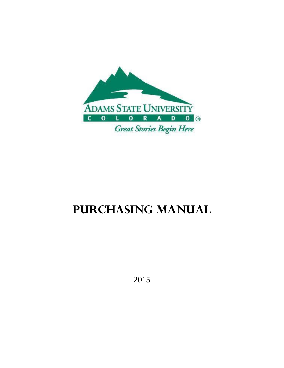

# **Purchasing Manual**

2015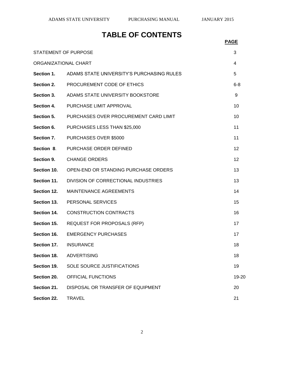## **TABLE OF CONTENTS**

|                             |                                           | <b>PAGE</b> |
|-----------------------------|-------------------------------------------|-------------|
| <b>STATEMENT OF PURPOSE</b> |                                           | 3           |
| ORGANIZATIONAL CHART        |                                           | 4           |
| Section 1.                  | ADAMS STATE UNIVERSITY'S PURCHASING RULES | 5           |
| Section 2.                  | PROCUREMENT CODE OF ETHICS                | $6 - 8$     |
| <b>Section 3.</b>           | ADAMS STATE UNIVERSITY BOOKSTORE          | 9           |
| <b>Section 4.</b>           | PURCHASE LIMIT APPROVAL                   | 10          |
| <b>Section 5.</b>           | PURCHASES OVER PROCUREMENT CARD LIMIT     | 10          |
| Section 6.                  | PURCHASES LESS THAN \$25,000              | 11          |
| Section 7.                  | PURCHASES OVER \$5000                     | 11          |
| Section 8.                  | PURCHASE ORDER DEFINED                    | 12          |
| Section 9.                  | <b>CHANGE ORDERS</b>                      | 12          |
| Section 10.                 | OPEN-END OR STANDING PURCHASE ORDERS      | 13          |
| Section 11.                 | DIVISION OF CORRECTIONAL INDUSTRIES       | 13          |
| Section 12.                 | <b>MAINTENANCE AGREEMENTS</b>             | 14          |
| Section 13.                 | PERSONAL SERVICES                         | 15          |
| Section 14.                 | <b>CONSTRUCTION CONTRACTS</b>             | 16          |
| Section 15.                 | <b>REQUEST FOR PROPOSALS (RFP)</b>        | 17          |
| Section 16.                 | <b>EMERGENCY PURCHASES</b>                | 17          |
| Section 17.                 | <b>INSURANCE</b>                          | 18          |
| Section 18.                 | <b>ADVERTISING</b>                        | 18          |
| Section 19.                 | SOLE SOURCE JUSTIFICATIONS                | 19          |
| Section 20.                 | OFFICIAL FUNCTIONS                        | 19-20       |
| Section 21.                 | DISPOSAL OR TRANSFER OF EQUIPMENT         | 20          |
| Section 22.                 | <b>TRAVEL</b>                             | 21          |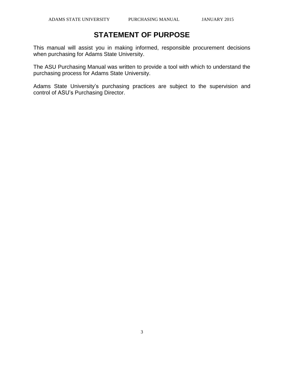## **STATEMENT OF PURPOSE**

This manual will assist you in making informed, responsible procurement decisions when purchasing for Adams State University.

The ASU Purchasing Manual was written to provide a tool with which to understand the purchasing process for Adams State University.

Adams State University's purchasing practices are subject to the supervision and control of ASU's Purchasing Director.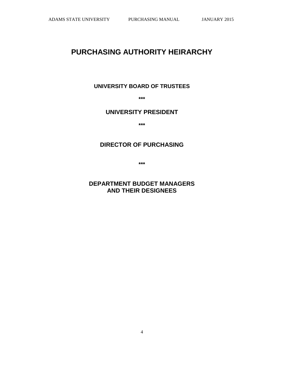## **PURCHASING AUTHORITY HEIRARCHY**

### **UNIVERSITY BOARD OF TRUSTEES**

**\*\*\***

### **UNIVERSITY PRESIDENT**

**\*\*\***

## **DIRECTOR OF PURCHASING**

**\*\*\***

**DEPARTMENT BUDGET MANAGERS AND THEIR DESIGNEES**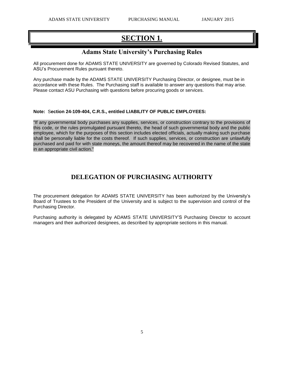## **SECTION 1.**

### **Adams State University's Purchasing Rules**

All procurement done for ADAMS STATE UNIVERSITY are governed by Colorado Revised Statutes, and ASU's Procurement Rules pursuant thereto.

Any purchase made by the ADAMS STATE UNIVERSITY Purchasing Director, or designee, must be in accordance with these Rules. The Purchasing staff is available to answer any questions that may arise. Please contact ASU Purchasing with questions before procuring goods or services.

#### **Note:** S**ection 24-109-404, C.R.S., entitled LIABILITY OF PUBLIC EMPLOYEES:**

"If any governmental body purchases any supplies, services, or construction contrary to the provisions of this code, or the rules promulgated pursuant thereto, the head of such governmental body and the public employee, which for the purposes of this section includes elected officials, actually making such purchase shall be personally liable for the costs thereof. If such supplies, services, or construction are unlawfully purchased and paid for with state moneys, the amount thereof may be recovered in the name of the state in an appropriate civil action."

### **DELEGATION OF PURCHASING AUTHORITY**

The procurement delegation for ADAMS STATE UNIVERSITY has been authorized by the University's Board of Trustees to the President of the University and is subject to the supervision and control of the Purchasing Director.

Purchasing authority is delegated by ADAMS STATE UNIVERSITY'S Purchasing Director to account managers and their authorized designees, as described by appropriate sections in this manual.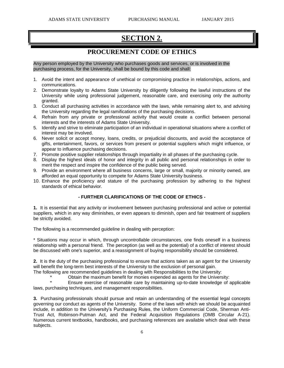## **SECTION 2.**

### **PROCUREMENT CODE OF ETHICS**

Any person employed by the University who purchases goods and services, or is involved in the purchasing process, for the University, shall be bound by this code and shall:

- 1. Avoid the intent and appearance of unethical or compromising practice in relationships, actions, and communications.
- 2. Demonstrate loyalty to Adams State University by diligently following the lawful instructions of the University while using professional judgement, reasonable care, and exercising only the authority granted.
- 3. Conduct all purchasing activities in accordance with the laws, while remaining alert to, and advising the University regarding the legal ramifications of the purchasing decisions.
- 4. Refrain from any private or professional activity that would create a conflict between personal interests and the interests of Adams State University.
- 5. Identify and strive to eliminate participation of an individual in operational situations where a conflict of interest may be involved.
- 6. Never solicit or accept money, loans, credits, or prejudicial discounts, and avoid the acceptance of gifts, entertainment, favors, or services from present or potential suppliers which might influence, or appear to influence purchasing decisions.
- 7. Promote positive supplier relationships through impartiality in all phases of the purchasing cycle.
- 8. Display the highest ideals of honor and integrity in all public and personal relationships in order to merit the respect and inspire the confidence of the public being served.
- 9. Provide an environment where all business concerns, large or small, majority or minority owned, are afforded an equal opportunity to compete for Adams State University business.
- 10. Enhance the proficiency and stature of the purchasing profession by adhering to the highest standards of ethical behavior.

#### **- FURTHER CLARIFICATIONS OF THE CODE OF ETHICS -**

**1.** It is essential that any activity or involvement between purchasing professional and active or potential suppliers, which in any way diminishes, or even appears to diminish, open and fair treatment of suppliers be strictly avoided.

The following is a recommended guideline in dealing with perception:

\* Situations may occur in which, through uncontrollable circumstances, one finds oneself in a business relationship with a personal friend. The perception (as well as the potential) of a conflict of interest should be discussed with one's superior, and a reassignment of buying responsibility should be considered.

**2.** It is the duty of the purchasing professional to ensure that actions taken as an agent for the University will benefit the long-term best interests of the University to the exclusion of personal gain.

The following are recommended guidelines in dealing with Responsibilities to the University:

Obtain the maximum benefit for monies expended as agents for the University:

Ensure exercise of reasonable care by maintaining up-to-date knowledge of applicable laws, purchasing techniques, and management responsibilities.

**3.** Purchasing professionals should pursue and retain an understanding of the essential legal concepts governing our conduct as agents of the University. Some of the laws with which we should be acquainted include, in addition to the University's Purchasing Rules, the Uniform Commercial Code, Sherman Anti-Trust Act, Robinson-Putman Act, and the Federal Acquisition Regulations (OMB Circular A-21). Numerous current textbooks, handbooks, and purchasing references are available which deal with these subjects.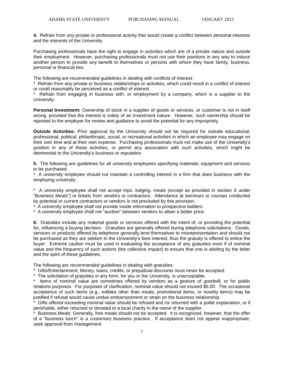**4.** Refrain from any private or professional activity that would create a conflict between personal interests and the interests of the University.

Purchasing professionals have the right to engage in activities which are of a private nature and outside their employment. However, purchasing professionals must not use their positions in any way to induce another person to provide any benefit to themselves or persons with whom they have family, business, personal or financial ties.

The following are recommended guidelines in dealing with conflicts of interest:

\* Refrain from any private or business relationships or activities, which could result in a conflict of interest or could reasonably be perceived as a conflict of interest.

Refrain from engaging in business with, or employment by a company, which is a supplier to the University.

**Personal Investment:** Ownership of stock in a supplier of goods or services, or customer is not in itself wrong, provided that the interest is solely of an investment nature. However, such ownership should be reported to the employer for review and guidance to avoid the potential for any impropriety.

**Outside Activities:** Prior approval by the University should not be required for outside educational, professional, political, philanthropic, social, or recreational activities in which an employee may engage on their own time and at their own expense. Purchasing professionals must not make use of the University's position in any of these activities, or permit any association with such activities, which might be detrimental to the University's business or reputation.

**5.** The following are guidelines for all university employees specifying materials, equipment and services to be purchased.

\* A university employee should not maintain a controlling interest in a firm that does business with the employing university.

\* A university employee shall not accept trips, lodging, meals (except as provided in section 6 under "Business Meals") or tickets from vendors or contractors. Attendance at seminars or courses conducted by potential or current contractors or vendors is not precluded by this provision.

A university employee shall not provide inside information to prospective bidders.

\* A university employee shall not "auction" between vendors to attain a better price.

**6.** Gratuities include any material goods or services offered with the intent of, or providing the potential for, influencing a buying decision. Gratuities are generally offered during telephone solicitations. Goods, services or products offered by telephone generally lend themselves to misrepresentation and should not be purchased as they are seldom in the University's best interest, thus the gratuity is offered to entice the buyer. Extreme caution must be used in evaluating the acceptance of any gratuities even if of nominal value and the frequency of such actions (the collective impact) to ensure that one is abiding by the letter and the spirit of these guidelines.

The following are recommended guidelines in dealing with gratuities:

\* Gifts/Entertainment, Money, loans, credits, or prejudicial discounts must never be accepted.

\* The solicitation of gratuities in any form, for you or the University, is unacceptable.

\* Items of nominal value are sometimes offered by vendors as a gesture of goodwill, or for public relations purposes. For purposes of clarification, nominal value should not exceed \$5.00. The occasional acceptance of such items (e.g., edibles other than meals, promotional items, or novelty items) may be justified if refusal would cause undue embarrassment or strain on the business relationship.

Gifts offered exceeding nominal value should be refused and /or returned with a polite explanation, or if perishable, either returned or donated to a local charity in the name of the supplier.

\* Business Meals: Generally, free meals should not be accepted. It is recognized, however, that the offer of a "business lunch" is a customary business practice. If acceptance does not appear inappropriate, seek approval from management.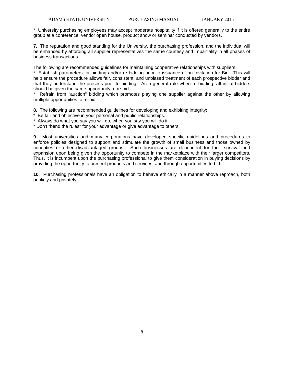\* University purchasing employees may accept moderate hospitality if it is offered generally to the entire group at a conference, vendor open house, product show or seminar conducted by vendors.

**7.** The reputation and good standing for the University, the purchasing profession, and the individual will be enhanced by affording all supplier representatives the same courtesy and impartiality in all phases of business transactions.

The following are recommended guidelines for maintaining cooperative relationships with suppliers:

\* Establish parameters for bidding and/or re-bidding prior to issuance of an Invitation for Bid. This will help ensure the procedure allows fair, consistent, and unbiased treatment of each prospective bidder and that they understand the process prior to bidding. As a general rule when re-bidding, all initial bidders should be given the same opportunity to re-bid.

Refrain from "auction" bidding which promotes playing one supplier against the other by allowing multiple opportunities to re-bid.

**8.** The following are recommended guidelines for developing and exhibiting integrity:

Be fair and objective in your personal and public relationships.

\* Always do what you say you will do, when you say you will do it.

\* Don't "bend the rules" for your advantage or give advantage to others.

**9.** Most universities and many corporations have developed specific guidelines and procedures to enforce policies designed to support and stimulate the growth of small business and those owned by minorities or other disadvantaged groups. Such businesses are dependent for their survival and expansion upon being given the opportunity to compete in the marketplace with their larger competitors. Thus, it is incumbent upon the purchasing professional to give them consideration in buying decisions by providing the opportunity to present products and services, and through opportunities to bid.

**10**. Purchasing professionals have an obligation to behave ethically in a manner above reproach, both publicly and privately.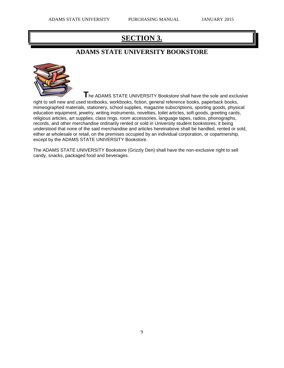## **SECTION 3.**

## **ADAMS STATE UNIVERSITY BOOKSTORE**



**T**he ADAMS STATE UNIVERSITY Bookstore shall have the sole and exclusive

right to sell new and used textbooks, workbooks, fiction, general reference books, paperback books, mimeographed materials, stationery, school supplies, magazine subscriptions, sporting goods, physical education equipment, jewelry, writing instruments, novelties, toilet articles, soft goods, greeting cards, religious articles, art supplies, class rings, room accessories, language tapes, radios, phonographs, records, and other merchandise ordinarily rented or sold in University student bookstores; it being understood that none of the said merchandise and articles hereinabove shall be handled, rented or sold, either at wholesale or retail, on the premises occupied by an individual corporation, or copartnership, except by the ADAMS STATE UNIVERSITY Bookstore.

The ADAMS STATE UNIVERSITY Bookstore (Grizzly Den) shall have the non-exclusive right to sell candy, snacks, packaged food and beverages.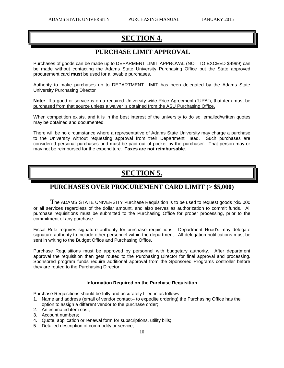## **SECTION 4.**

### **PURCHASE LIMIT APPROVAL**

Purchases of goods can be made up to DEPARMENT LIMIT APPROVAL (NOT TO EXCEED \$4999) can be made without contacting the Adams State University Purchasing Office but the State approved procurement card **must** be used for allowable purchases.

Authority to make purchases up to DEPARTMENT LIMIT has been delegated by the Adams State University Purchasing Director

**Note:** If a good or service is on a required University-wide Price Agreement ("UPA"), that item must be purchased from that source unless a waiver is obtained from the ASU Purchasing Office.

When competition exists, and it is in the best interest of the university to do so, emailed/written quotes may be obtained and documented.

There will be no circumstance where a representative of Adams State University may charge a purchase to the University without requesting approval from their Department Head. Such purchases are considered personal purchases and must be paid out of pocket by the purchaser. That person may or may not be reimbursed for the expenditure. **Taxes are not reimbursable.**

## **SECTION 5.**

### **PURCHASES OVER PROCUREMENT CARD LIMIT (> \$5,000)**

The ADAMS STATE UNIVERSITY Purchase Requisition is to be used to request goods  $\geq$ \$5,000 or all services regardless of the dollar amount, and also serves as authorization to commit funds. All purchase requisitions must be submitted to the Purchasing Office for proper processing, prior to the commitment of any purchase.

Fiscal Rule requires signature authority for purchase requisitions. Department Head's may delegate signature authority to include other personnel within the department. All delegation notifications must be sent in writing to the Budget Office and Purchasing Office.

Purchase Requisitions must be approved by personnel with budgetary authority. After department approval the requisition then gets routed to the Purchasing Director for final approval and processing. Sponsored program funds require additional approval from the Sponsored Programs controller before they are routed to the Purchasing Director.

#### **Information Required on the Purchase Requisition**

Purchase Requisitions should be fully and accurately filled in as follows:

- 1. Name and address (email of vendor contact-- to expedite ordering) the Purchasing Office has the option to assign a different vendor to the purchase order;
- 2. An estimated item cost;
- 3. Account numbers;
- 4. Quote, application or renewal form for subscriptions, utility bills;
- 5. Detailed description of commodity or service;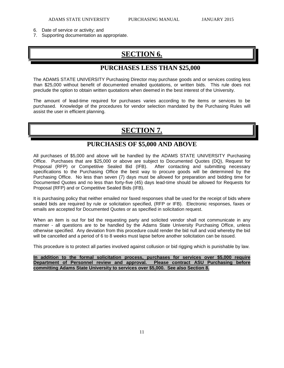- 6. Date of service or activity; and
- 7. Supporting documentation as appropriate.

## **SECTION 6.**

### **PURCHASES LESS THAN \$25,000**

The ADAMS STATE UNIVERSITY Purchasing Director may purchase goods and or services costing less than \$25,000 without benefit of documented emailed quotations, or written bids. This rule does not preclude the option to obtain written quotations when deemed in the best interest of the University.

The amount of lead-time required for purchases varies according to the items or services to be purchased. Knowledge of the procedures for vendor selection mandated by the Purchasing Rules will assist the user in efficient planning.

## **SECTION 7.**

### **PURCHASES OF \$5,000 AND ABOVE**

All purchases of \$5,000 and above will be handled by the ADAMS STATE UNIVERSITY Purchasing Office. Purchases that are \$25,000 or above are subject to Documented Quotes (DQ), Request for Proposal (RFP) or Competitive Sealed Bid (IFB). After contacting and submitting necessary specifications to the Purchasing Office the best way to procure goods will be determined by the Purchasing Office. No less than seven (7) days must be allowed for preparation and bidding time for Documented Quotes and no less than forty-five (45) days lead-time should be allowed for Requests for Proposal (RFP) and or Competitive Sealed Bids (IFB).

It is purchasing policy that neither emailed nor faxed responses shall be used for the receipt of bids where sealed bids are required by rule or solicitation specified, (RFP or IFB). Electronic responses, faxes or emails are accepted for Documented Quotes or as specified in solicitation request.

When an item is out for bid the requesting party and solicited vendor shall not communicate in any manner - all questions are to be handled by the Adams State University Purchasing Office, unless otherwise specified. Any deviation from this procedure could render the bid null and void whereby the bid will be cancelled and a period of 6 to 8 weeks must lapse before another solicitation can be issued.

This procedure is to protect all parties involved against collusion or bid rigging which is punishable by law.

**In addition to the formal solicitation process, purchases for services over \$5,000 require Department of Personnel review and approval. Please contract ASU Purchasing before committing Adams State University to services over \$5,000. See also Section 8.**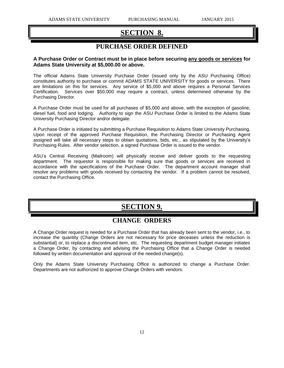## **SECTION 8.**

## **PURCHASE ORDER DEFINED**

#### **A Purchase Order or Contract must be in place before securing any goods or services for Adams State University at \$5,000.00 or above.**

The official Adams State University Purchase Order (issued only by the ASU Purchasing Office) constitutes authority to purchase or commit ADAMS STATE UNIVERSITY for goods or services. There are limitations on this for services. Any service of \$5,000 and above requires a Personal Services Certification. Services over \$50,000 may require a contract, unless determined otherwise by the Purchasing Director.

A Purchase Order must be used for all purchases of \$5,000 and above, with the exception of gasoline, diesel fuel, food and lodging. Authority to sign the ASU Purchase Order is limited to the Adams State University Purchasing Director and/or delegate.

A Purchase Order is initiated by submitting a Purchase Requisition to Adams State University Purchasing. Upon receipt of the approved Purchase Requisition, the Purchasing Director or Purchasing Agent assigned will take all necessary steps to obtain quotations, bids, etc., as stipulated by the University's Purchasing Rules. After vendor selection, a signed Purchase Order is issued to the vendor.

ASU's Central Receiving (Mailroom) will physically receive and deliver goods to the requesting department. The requestor is responsible for making sure that goods or services are received in accordance with the specifications of the Purchase Order. The department account manager shall resolve any problems with goods received by contacting the vendor. If a problem cannot be resolved, contact the Purchasing Office.

## **SECTION 9.**

### **CHANGE ORDERS**

A Change Order request is needed for a Purchase Order that has already been sent to the vendor, i.e., to increase the quantity (Change Orders are not necessary for price deceases unless the reduction is substantial) or, to replace a discontinued item, etc. The requesting department budget manager initiates a Change Order, by contacting and advising the Purchasing Office that a Change Order is needed followed by written documentation and approval of the needed change(s).

Only the Adams State University Purchasing Office is authorized to change a Purchase Order. Departments are not authorized to approve Change Orders with vendors.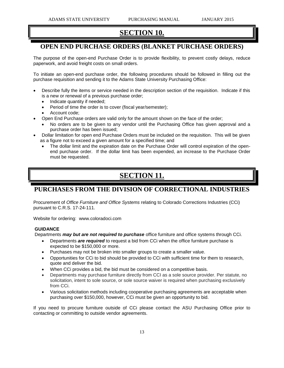## **SECTION 10.**

## **OPEN END PURCHASE ORDERS (BLANKET PURCHASE ORDERS)**

The purpose of the open-end Purchase Order is to provide flexibility, to prevent costly delays, reduce paperwork, and avoid freight costs on small orders.

To initiate an open-end purchase order, the following procedures should be followed in filling out the purchase requisition and sending it to the Adams State University Purchasing Office:

- Describe fully the items or service needed in the description section of the requisition. Indicate if this is a new or renewal of a previous purchase order;
	- Indicate quantity if needed;
	- Period of time the order is to cover (fiscal year/semester);
	- Account code;
	- Open End Purchase orders are valid only for the amount shown on the face of the order;
		- No orders are to be given to any vendor until the Purchasing Office has given approval and a purchase order has been issued;
- Dollar limitation for open end Purchase Orders must be included on the requisition. This will be given as a figure not to exceed a given amount for a specified time; and
	- The dollar limit and the expiration date on the Purchase Order will control expiration of the openend purchase order. If the dollar limit has been expended, an increase to the Purchase Order must be requested.

## **SECTION 11.**

### **PURCHASES FROM THE DIVISION OF CORRECTIONAL INDUSTRIES**

Procurement of *Office Furniture and Office Systems* relating to Colorado Corrections Industries (CCi) pursuant to C.R.S. 17-24-111.

Website for ordering: www.coloradoci.com

#### **GUIDANCE**

Departments *may but are not required to purchase* office furniture and office systems through CCi.

- Departments *are required* to request a bid from CCi when the office furniture purchase is expected to be \$150,000 or more.
- Purchases may not be broken into smaller groups to create a smaller value.
- Opportunities for CCi to bid should be provided to CCi with sufficient time for them to research, quote and deliver the bid.
- When CCi provides a bid, the bid must be considered on a competitive basis.
- Departments may purchase furniture directly from CCI as a sole source provider. Per statute, no solicitation, intent to sole source, or sole source waiver is required when purchasing exclusively from CCi.
- Various solicitation methods including cooperative purchasing agreements are acceptable when purchasing over \$150,000, however, CCi must be given an opportunity to bid.

If you need to procure furniture outside of CCi please contact the ASU Purchasing Office prior to contacting or committing to outside vendor agreements.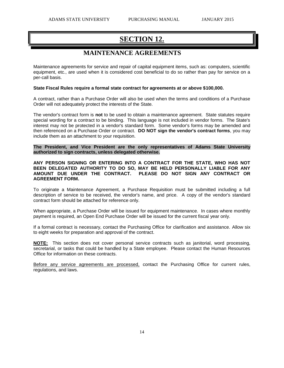## **SECTION 12.**

## **MAINTENANCE AGREEMENTS**

Maintenance agreements for service and repair of capital equipment items, such as: computers, scientific equipment, etc., are used when it is considered cost beneficial to do so rather than pay for service on a per-call basis.

#### **State Fiscal Rules require a formal state contract for agreements at or above \$100,000.**

A contract, rather than a Purchase Order will also be used when the terms and conditions of a Purchase Order will not adequately protect the interests of the State.

The vendor's contract form is **not** to be used to obtain a maintenance agreement. State statutes require special wording for a contract to be binding. This language is not included in vendor forms. The State's interest may not be protected in a vendor's standard form. Some vendor's forms may be amended and then referenced on a Purchase Order or contract. **DO NOT sign the vendor's contract forms**, you may include them as an attachment to your requisition.

**The President, and Vice President are the only representatives of Adams State University authorized to sign contracts, unless delegated otherwise.**

**ANY PERSON SIGNING OR ENTERING INTO A CONTRACT FOR THE STATE, WHO HAS NOT BEEN DELEGATED AUTHORITY TO DO SO, MAY BE HELD PERSONALLY LIABLE FOR ANY AMOUNT DUE UNDER THE CONTRACT. PLEASE DO NOT SIGN ANY CONTRACT OR AGREEMENT FORM.** 

To originate a Maintenance Agreement, a Purchase Requisition must be submitted including a full description of service to be received, the vendor's name, and price. A copy of the vendor's standard contract form should be attached for reference only.

When appropriate, a Purchase Order will be issued for equipment maintenance. In cases where monthly payment is required, an Open End Purchase Order will be issued for the current fiscal year only.

If a formal contract is necessary, contact the Purchasing Office for clarification and assistance. Allow six to eight weeks for preparation and approval of the contract.

**NOTE:** This section does not cover personal service contracts such as janitorial, word processing, secretarial, or tasks that could be handled by a State employee. Please contact the Human Resources Office for information on these contracts.

Before any service agreements are processed, contact the Purchasing Office for current rules, regulations, and laws.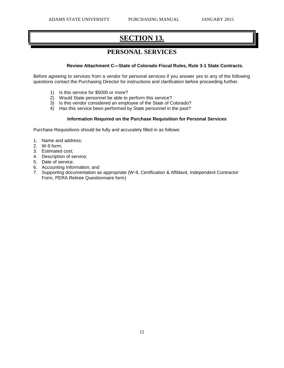## **SECTION 13.**

## **PERSONAL SERVICES**

#### **Review Attachment C—State of Colorado Fiscal Rules, Rule 3-1 State Contracts.**

Before agreeing to services from a vendor for personal services if you answer yes to any of the following questions contact the Purchasing Director for instructions and clarification before proceeding further.

- 1) Is this service for \$5000 or more?
- 2) Would State personnel be able to perform this service?
- 3) Is this vendor considered an employee of the State of Colorado?
- 4) Has this service been performed by State personnel in the past?

#### **Information Required on the Purchase Requisition for Personal Services**

Purchase Requisitions should be fully and accurately filled in as follows:

- 1. Name and address;
- 2. W-9 form;
- 3. Estimated cost;
- 4. Description of service;
- 5. Date of service;
- 6. Accounting Information; and
- 7. Supporting documentation as appropriate (W-9, Certification & Affidavit, Independent Contractor Form, PERA Retiree Questionnaire form)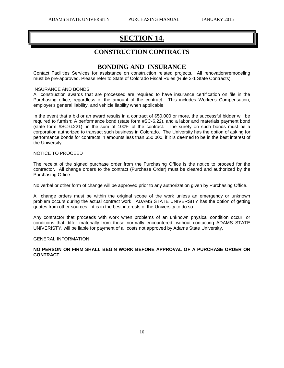## **SECTION 14.**

### **CONSTRUCTION CONTRACTS**

### **BONDING AND INSURANCE**

Contact Facilities Services for assistance on construction related projects. All renovation/remodeling must be pre-approved. Please refer to State of Colorado Fiscal Rules (Rule 3-1 State Contracts).

#### INSURANCE AND BONDS

All construction awards that are processed are required to have insurance certification on file in the Purchasing office, regardless of the amount of the contract. This includes Worker's Compensation, employer's general liability, and vehicle liability when applicable.

In the event that a bid or an award results in a contract of \$50,000 or more, the successful bidder will be required to furnish: A performance bond (state form #SC-6.22), and a labor and materials payment bond (state form #SC-6.221), in the sum of 100% of the contract. The surety on such bonds must be a corporation authorized to transact such business in Colorado. The University has the option of asking for performance bonds for contracts in amounts less than \$50,000, if it is deemed to be in the best interest of the University.

#### NOTICE TO PROCEED

The receipt of the signed purchase order from the Purchasing Office is the notice to proceed for the contractor. All change orders to the contract (Purchase Order) must be cleared and authorized by the Purchasing Office.

No verbal or other form of change will be approved prior to any authorization given by Purchasing Office.

All change orders must be within the original scope of the work unless an emergency or unknown problem occurs during the actual contract work. ADAMS STATE UNIVERSITY has the option of getting quotes from other sources if it is in the best interests of the University to do so.

Any contractor that proceeds with work when problems of an unknown physical condition occur, or conditions that differ materially from those normally encountered, without contacting ADAMS STATE UNIVERISTY, will be liable for payment of all costs not approved by Adams State University.

#### GENERAL INFORMATION

#### **NO PERSON OR FIRM SHALL BEGIN WORK BEFORE APPROVAL OF A PURCHASE ORDER OR CONTRACT**.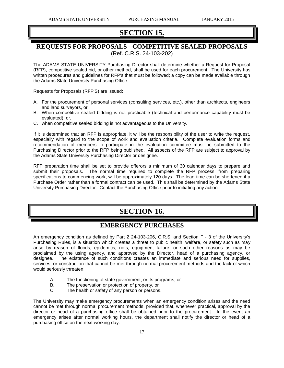## **SECTION 15.**

### **REQUESTS FOR PROPOSALS - COMPETITIVE SEALED PROPOSALS** (Ref. C.R.S. 24-103-202)

The ADAMS STATE UNIVERSITY Purchasing Director shall determine whether a Request for Proposal (RFP), competitive sealed bid, or other method, shall be used for each procurement. The University has written procedures and guidelines for RFP's that must be followed; a copy can be made available through the Adams State University Purchasing Office.

Requests for Proposals (RFP'S) are issued:

- A. For the procurement of personal services (consulting services, etc.), other than architects, engineers and land surveyors, or
- B. When competitive sealed bidding is not practicable (technical and performance capability must be evaluated), or,
- C. when competitive sealed bidding is not advantageous to the University.

If it is determined that an RFP is appropriate, it will be the responsibility of the user to write the request, especially with regard to the scope of work and evaluation criteria. Complete evaluation forms and recommendation of members to participate in the evaluation committee must be submitted to the Purchasing Director prior to the RFP being published. All aspects of the RFP are subject to approval by the Adams State University Purchasing Director or designee.

RFP preparation time shall be set to provide offerors a minimum of 30 calendar days to prepare and submit their proposals. The normal time required to complete the RFP process, from preparing specifications to commencing work, will be approximately 120 days. The lead-time can be shortened if a Purchase Order rather than a formal contract can be used. This shall be determined by the Adams State University Purchasing Director. Contact the Purchasing Office prior to initiating any action.

## **SECTION 16.**

### **EMERGENCY PURCHASES**

An emergency condition as defined by Part 2 24-103-206, C.R.S. and Section F - 3 of the University's Purchasing Rules, is a situation which creates a threat to public health, welfare, or safety such as may arise by reason of floods, epidemics, riots, equipment failure, or such other reasons as may be proclaimed by the using agency, and approved by the Director, head of a purchasing agency, or designee. The existence of such conditions creates an immediate and serious need for supplies, services, or construction that cannot be met through normal procurement methods and the lack of which would seriously threaten:

- A. The functioning of state government, or its programs, or
- B. The preservation or protection of property, or
- C. The health or safety of any person or persons.

The University may make emergency procurements when an emergency condition arises and the need cannot be met through normal procurement methods, provided that, whenever practical, approval by the director or head of a purchasing office shall be obtained prior to the procurement. In the event an emergency arises after normal working hours, the department shall notify the director or head of a purchasing office on the next working day.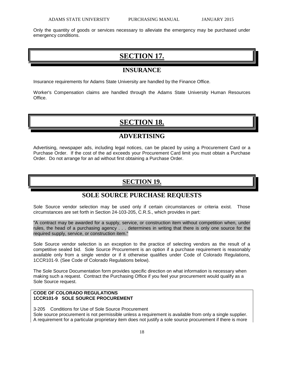Only the quantity of goods or services necessary to alleviate the emergency may be purchased under emergency conditions.

## **SECTION 17.**

### **INSURANCE**

Insurance requirements for Adams State University are handled by the Finance Office.

Worker's Compensation claims are handled through the Adams State University Human Resources Office.

## **SECTION 18.**

### **ADVERTISING**

Advertising, newspaper ads, including legal notices, can be placed by using a Procurement Card or a Purchase Order. If the cost of the ad exceeds your Procurement Card limit you must obtain a Purchase Order. Do not arrange for an ad without first obtaining a Purchase Order.

## **SECTION 19.**

### **SOLE SOURCE PURCHASE REQUESTS**

Sole Source vendor selection may be used only if certain circumstances or criteria exist. Those circumstances are set forth in Section 24-103-205, C.R.S., which provides in part:

"A contract may be awarded for a supply, service, or construction item without competition when, under rules, the head of a purchasing agency . . . determines in writing that there is only one source for the required supply, service, or construction item."

Sole Source vendor selection is an exception to the practice of selecting vendors as the result of a competitive sealed bid. Sole Source Procurement is an option if a purchase requirement is reasonably available only from a single vendor or if it otherwise qualifies under Code of Colorado Regulations, 1CCR101-9. (See Code of Colorado Regulations below).

The Sole Source Documentation form provides specific direction on what information is necessary when making such a request. Contract the Purchasing Office if you feel your procurement would qualify as a Sole Source request.

#### **CODE OF COLORADO REGULATIONS 1CCR101-9 SOLE SOURCE PROCUREMENT**

3-205 Conditions for Use of Sole Source Procurement Sole source procurement is not permissible unless a requirement is available from only a single supplier. A requirement for a particular proprietary item does not justify a sole source procurement if there is more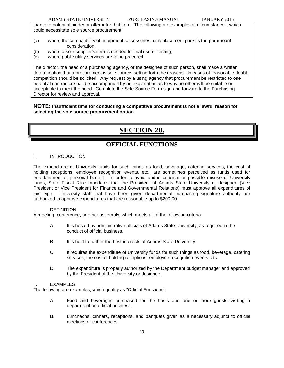#### ADAMS STATE UNIVERSITY PURCHASING MANUAL JANUARY 2015

than one potential bidder or offeror for that item. The following are examples of circumstances, which could necessitate sole source procurement:

- (a) where the compatibility of equipment, accessories, or replacement parts is the paramount consideration;
- (b) where a sole supplier's item is needed for trial use or testing;
- (c) where public utility services are to be procured.

The director, the head of a purchasing agency, or the designee of such person, shall make a written determination that a procurement is sole source, setting forth the reasons. In cases of reasonable doubt, competition should be solicited. Any request by a using agency that procurement be restricted to one potential contractor shall be accompanied by an explanation as to why no other will be suitable or acceptable to meet the need. Complete the Sole Source Form sign and forward to the Purchasing Director for review and approval.

#### **NOTE: Insufficient time for conducting a competitive procurement is not a lawful reason for selecting the sole source procurement option.**

## **SECTION 20.**

## **OFFICIAL FUNCTIONS**

#### I. INTRODUCTION

The expenditure of University funds for such things as food, beverage, catering services, the cost of holding receptions, employee recognition events, etc., are sometimes perceived as funds used for entertainment or personal benefit. In order to avoid undue criticism or possible misuse of University funds, State Fiscal Rule mandates that the President of Adams State University or designee (Vice President or Vice President for Finance and Governmental Relations) must approve all expenditures of this type. University staff that have been given departmental purchasing signature authority are authorized to approve expenditures that are reasonable up to \$200.00.

#### I. DEFINITION

A meeting, conference, or other assembly, which meets all of the following criteria:

- A. It is hosted by administrative officials of Adams State University, as required in the conduct of official business.
- B. It is held to further the best interests of Adams State University.
- C. It requires the expenditure of University funds for such things as food, beverage, catering services, the cost of holding receptions, employee recognition events, etc.
- D. The expenditure is properly authorized by the Department budget manager and approved by the President of the University or designee.

#### II. EXAMPLES

The following are examples, which qualify as "Official Functions":

- A. Food and beverages purchased for the hosts and one or more guests visiting a department on official business.
- B. Luncheons, dinners, receptions, and banquets given as a necessary adjunct to official meetings or conferences.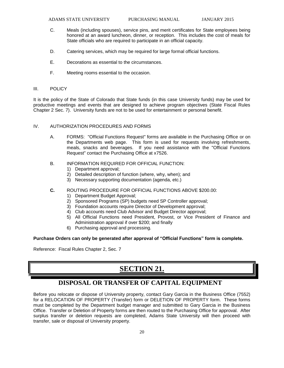- C. Meals (including spouses), service pins, and merit certificates for State employees being honored at an award luncheon, dinner, or reception. This includes the cost of meals for State officials who are required to participate in an official capacity.
- D. Catering services, which may be required for large formal official functions.
- E. Decorations as essential to the circumstances.
- F. Meeting rooms essential to the occasion.

#### III. POLICY

It is the policy of the State of Colorado that State funds (in this case University funds) may be used for productive meetings and events that are designed to achieve program objectives (State Fiscal Rules Chapter 2 Sec. 7). University funds are not to be used for entertainment or personal benefit.

#### IV. AUTHORIZATION PROCEDURES AND FORMS

- A. FORMS: "Official Functions Request" forms are available in the Purchasing Office or on the Departments web page. This form is used for requests involving refreshments, meals, snacks and beverages. If you need assistance with the "Official Functions Request" contact the Purchasing Office at x7526.
- B. INFORMATION REQUIRED FOR OFFICIAL FUNCTION:
	- 1) Department approval;
	- 2) Detailed description of function (where, why, when); and
	- 3) Necessary supporting documentation (agenda, etc.)
- **C.** ROUTING PROCEDURE FOR OFFICIAL FUNCTIONS ABOVE \$200.00:
	- 1) Department Budget Approval;
	- 2) Sponsored Programs (SP) budgets need SP Controller approval;
	- 3) Foundation accounts require Director of Development approval;
	- 4) Club accounts need Club Advisor and Budget Director approval;
	- 5) All Official Functions need President, Provost, or Vice President of Finance and Administration approval if over \$200; and finally
	- 6) Purchasing approval and processing.

**Purchase Orders can only be generated after approval of "Official Functions" form is complete.** 

Reference: Fiscal Rules Chapter 2, Sec. 7

## **SECTION 21.**

### **DISPOSAL OR TRANSFER OF CAPITAL EQUIPMENT**

Before you relocate or dispose of University property, contact Gary Garcia in the Business Office (7552) for a RELOCATION OF PROPERTY (Transfer) form or DELETION OF PROPERTY form. These forms must be completed by the Department budget manager and submitted to Gary Garcia in the Business Office. Transfer or Deletion of Property forms are then routed to the Purchasing Office for approval. After surplus transfer or deletion requests are completed, Adams State University will then proceed with transfer, sale or disposal of University property.